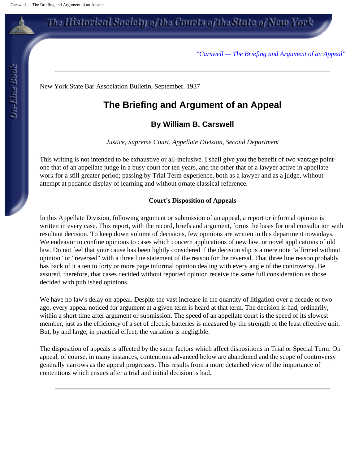*"Carswell — The Briefing and Argument of an Appeal"*

New York State Bar Association Bulletin, September, 1937

### **The Briefing and Argument of an Appeal**

### **By William B. Carswell**

*Justice, Supreme Court, Appellate Division, Second Department*

This writing is not intended to be exhaustive or all-inclusive. I shall give you the benefit of two vantage pointone that of an appellate judge in a busy court for ten years, and the other that of a lawyer active in appellate work for a still greater period; passing by Trial Term experience, both as a lawyer and as a judge, without attempt at pedantic display of learning and without ornate classical reference.

#### **Court's Disposition of Appeals**

In this Appellate Division, following argument or submission of an appeal, a report or informal opinion is written in every case. This report, with the record, briefs and argument, forms the basis for oral consultation with resultant decision. To keep down volume of decisions, few opinions are written in this department nowadays. We endeavor to confine opinions to cases which concern applications of new law, or novel applications of old law. Do not feel that your cause has been lightly considered if the decision slip is a mere note "affirmed without opinion" or "reversed" with a three line statement of the reason for the reversal. That three line reason probably has back of it a ten to forty or more page informal opinion dealing with every angle of the controversy. Be assured, therefore, that cases decided without reported opinion receive the same full consideration as those decided with published opinions.

We have no law's delay on appeal. Despite the vast increase in the quantity of litigation over a decade or two ago, every appeal noticed for argument at a given term is heard at that term. The decision is had, ordinarily, within a short time after argument or submission. The speed of an appellate court is the speed of its slowest member, just as the efficiency of a set of electric batteries is measured by the strength of the least effective unit. But, by and large, in practical effect, the variation is negligible.

The disposition of appeals is affected by the same factors which affect dispositions in Trial or Special Term. On appeal, of course, in many instances, contentions advanced below are abandoned and the scope of controversy generally narrows as the appeal progresses. This results from a more detached view of the importance of contentions which ensues after a trial and initial decision is had.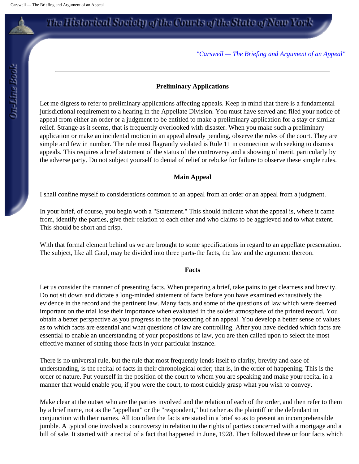*"Carswell — The Briefing and Argument of an Appeal"*

#### **Preliminary Applications**

Let me digress to refer to preliminary applications affecting appeals. Keep in mind that there is a fundamental jurisdictional requirement to a hearing in the Appellate Division. You must have served and filed your notice of appeal from either an order or a judgment to be entitled to make a preliminary application for a stay or similar relief. Strange as it seems, that is frequently overlooked with disaster. When you make such a preliminary application or make an incidental motion in an appeal already pending, observe the rules of the court. They are simple and few in number. The rule most flagrantly violated is Rule 11 in connection with seeking to dismiss appeals. This requires a brief statement of the status of the controversy and a showing of merit, particularly by the adverse party. Do not subject yourself to denial of relief or rebuke for failure to observe these simple rules.

### **Main Appeal**

I shall confine myself to considerations common to an appeal from an order or an appeal from a judgment.

In your brief, of course, you begin woth a "Statement." This should indicate what the appeal is, where it came from, identify the parties, give their relation to each other and who claims to be aggrieved and to what extent. This should be short and crisp.

With that formal element behind us we are brought to some specifications in regard to an appellate presentation. The subject, like all Gaul, may be divided into three parts-the facts, the law and the argument thereon.

#### **Facts**

Let us consider the manner of presenting facts. When preparing a brief, take pains to get clearness and brevity. Do not sit down and dictate a long-minded statement of facts before you have examined exhaustively the evidence in the record and the pertinent law. Many facts and some of the questions of law which were deemed important on the trial lose their importance when evaluated in the solder atmosphere of the printed record. You obtain a better perspective as you progress to the prosecuting of an appeal. You develop a better sense of values as to which facts are essential and what questions of law are controlling. After you have decided which facts are essential to enable an understanding of your propositions of law, you are then called upon to select the most effective manner of stating those facts in your particular instance.

There is no universal rule, but the rule that most frequently lends itself to clarity, brevity and ease of understanding, is the recital of facts in their chronological order; that is, in the order of happening. This is the order of nature. Put yourself in the position of the court to whom you are speaking and make your recital in a manner that would enable you, if you were the court, to most quickly grasp what you wish to convey.

Make clear at the outset who are the parties involved and the relation of each of the order, and then refer to them by a brief name, not as the "appellant" or the "respondent," but rather as the plaintiff or the defendant in conjunction with their names. All too often the facts are stated in a brief so as to present an incomprehensible jumble. A typical one involved a controversy in relation to the rights of parties concerned with a mortgage and a bill of sale. It started with a recital of a fact that happened in June, 1928. Then followed three or four facts which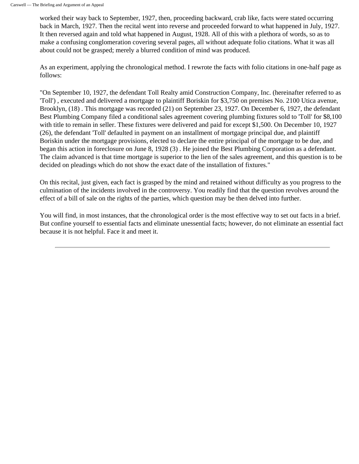worked their way back to September, 1927, then, proceeding backward, crab like, facts were stated occurring back in March, 1927. Then the recital went into reverse and proceeded forward to what happened in July, 1927. It then reversed again and told what happened in August, 1928. All of this with a plethora of words, so as to make a confusing conglomeration covering several pages, all without adequate folio citations. What it was all about could not be grasped; merely a blurred condition of mind was produced.

As an experiment, applying the chronological method. I rewrote the facts with folio citations in one-half page as follows:

"On September 10, 1927, the defendant Toll Realty amid Construction Company, Inc. (hereinafter referred to as 'Toll') , executed and delivered a mortgage to plaintiff Boriskin for \$3,750 on premises No. 2100 Utica avenue, Brooklyn, (18) . This mortgage was recorded (21) on September 23, 1927. On December 6, 1927, the defendant Best Plumbing Company filed a conditional sales agreement covering plumbing fixtures sold to 'Toll' for \$8,100 with title to remain in seller. These fixtures were delivered and paid for except \$1,500. On December 10, 1927 (26), the defendant 'Toll' defaulted in payment on an installment of mortgage principal due, and plaintiff Boriskin under the mortgage provisions, elected to declare the entire principal of the mortgage to be due, and began this action in foreclosure on June 8, 1928 (3) . He joined the Best Plumbing Corporation as a defendant. The claim advanced is that time mortgage is superior to the lien of the sales agreement, and this question is to be decided on pleadings which do not show the exact date of the installation of fixtures."

On this recital, just given, each fact is grasped by the mind and retained without difficulty as you progress to the culmination of the incidents involved in the controversy. You readily find that the question revolves around the effect of a bill of sale on the rights of the parties, which question may be then delved into further.

You will find, in most instances, that the chronological order is the most effective way to set out facts in a brief. But confine yourself to essential facts and eliminate unessential facts; however, do not eliminate an essential fact because it is not helpful. Face it and meet it.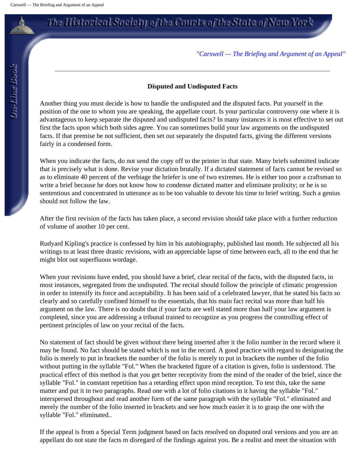*"Carswell — The Briefing and Argument of an Appeal"*

#### **Disputed and Undisputed Facts**

Another thing you must decide is how to handle the undisputed and the disputed facts. Put yourself in the position of the one to whom you are speaking, the appellate court. Is your particular controversy one where it is advantageous to keep separate the disputed and undisputed facts? In many instances it is most effective to set out first the facts upon which both sides agree. You can sometimes build your law arguments on the undisputed facts. If that premise be not sufficient, then set out separately the disputed facts, giving the different versions fairly in a condensed form.

When you indicate the facts, do not send the copy off to the printer in that state. Many briefs submitted indicate that is precisely what is done. Revise your dictation brutally. If a dictated statement of facts cannot be revised so as to eliminate 40 percent of the verbiage the briefer is one of two extremes. He is either too poor a craftsman to write a brief because he does not know how to condense dictated matter and eliminate prolixity; or he is so sententious and concentrated in utterance as to be too valuable to devote his time to brief writing. Such a genius should not follow the law.

After the first revision of the facts has taken place, a second revision should take place with a further reduction of volume of another 10 per cent.

Rudyard Kipling's practice is confessed by him in his autobiography, published last month. He subjected all his writings to at least three drastic revisions, with an appreciable lapse of time between each, all to the end that he might blot out superfluous wordage.

When your revisions have ended, you should have a brief, clear recital of the facts, with the disputed facts, in most instances, segregated from the undisputed. The recital should follow the principle of climatic progression in order to intensify its force and acceptability. It has been said of a celebrated lawyer, that he stated his facts so clearly and so carefully confined himself to the essentials, that his main fact recital was more than half his argument on the law. There is no doubt that if your facts are well stated more than half your law argument is completed, since you are addressing a tribunal trained to recognize as you progress the controlling effect of pertinent principles of law on your recital of the facts.

No statement of fact should be given without there being inserted after it the folio number in the record where it may be found. No fact should be stated which is not in the record. A good practice with regard to designating the folio is merely to put in brackets the number of the folio is merely to put in brackets the number of the folio without putting in the syllable "Fol." When the bracketed figure of a citation is given, folio is understood. The practical effect of this method is that you get better receptivity from the mind of the reader of the brief, since the syllable "Fol." in constant repetition has a retarding effect upon mind reception. To test this, take the same matter and put it in two paragraphs. Read one with a lot of folio citations in it having the syllable "Fol." interspersed throughout and read another form of the same paragraph with the syllable "Fol." eliminated and merely the number of the folio inserted in brackets and see how much easier it is to grasp the one with the syllable "Fol." eliminated..

If the appeal is from a Special Term judgment based on facts resolved on disputed oral versions and you are an appellant do not state the facts m disregard of the findings against you. Be a realist and meet the situation with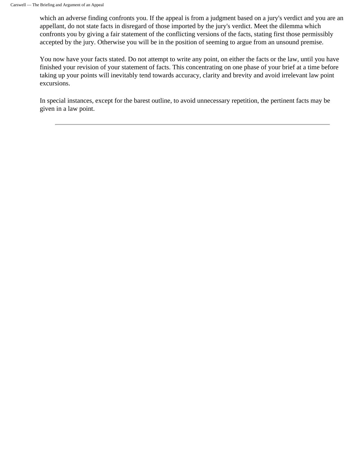which an adverse finding confronts you. If the appeal is from a judgment based on a jury's verdict and you are an appellant, do not state facts in disregard of those imported by the jury's verdict. Meet the dilemma which confronts you by giving a fair statement of the conflicting versions of the facts, stating first those permissibly accepted by the jury. Otherwise you will be in the position of seeming to argue from an unsound premise.

You now have your facts stated. Do not attempt to write any point, on either the facts or the law, until you have finished your revision of your statement of facts. This concentrating on one phase of your brief at a time before taking up your points will inevitably tend towards accuracy, clarity and brevity and avoid irrelevant law point excursions.

In special instances, except for the barest outline, to avoid unnecessary repetition, the pertinent facts may be given in a law point.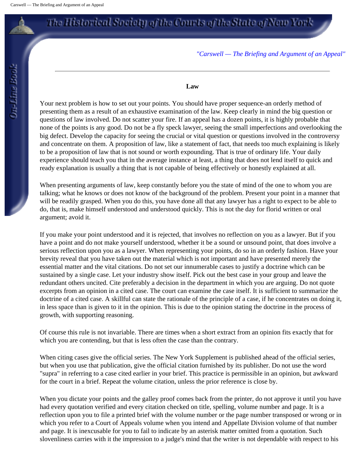*"Carswell — The Briefing and Argument of an Appeal"*

### **Law**

Your next problem is how to set out your points. You should have proper sequence-an orderly method of presenting them as a result of an exhaustive examination of the law. Keep clearly in mind the big question or questions of law involved. Do not scatter your fire. If an appeal has a dozen points, it is highly probable that none of the points is any good. Do not be a fly speck lawyer, seeing the small imperfections and overlooking the big defect. Develop the capacity for seeing the crucial or vital question or questions involved in the controversy and concentrate on them. A proposition of law, like a statement of fact, that needs too much explaining is likely to be a proposition of law that is not sound or worth expounding. That is true of ordinary life. Your daily experience should teach you that in the average instance at least, a thing that does not lend itself to quick and ready explanation is usually a thing that is not capable of being effectively or honestly explained at all.

When presenting arguments of law, keep constantly before you the state of mind of the one to whom you are talking; what he knows or does not know of the background of the problem. Present your point in a manner that will be readily grasped. When you do this, you have done all that any lawyer has a right to expect to be able to do, that is, make himself understood and understood quickly. This is not the day for florid written or oral argument; avoid it.

If you make your point understood and it is rejected, that involves no reflection on you as a lawyer. But if you have a point and do not make yourself understood, whether it be a sound or unsound point, that does involve a serious reflection upon you as a lawyer. When representing your points, do so in an orderly fashion. Have your brevity reveal that you have taken out the material which is not important and have presented merely the essential matter and the vital citations. Do not set our innumerable cases to justify a doctrine which can be sustained by a single case. Let your industry show itself. Pick out the best case in your group and leave the redundant others uncited. Cite preferably a decision in the department in which you are arguing. Do not quote excerpts from an opinion in a cited case. The court can examine the case itself. It is sufficient to summarize the doctrine of a cited case. A skillful can state the rationale of the principle of a case, if he concentrates on doing it, in less space than is given to it in the opinion. This is due to the opinion stating the doctrine in the process of growth, with supporting reasoning.

Of course this rule is not invariable. There are times when a short extract from an opinion fits exactly that for which you are contending, but that is less often the case than the contrary.

When citing cases give the official series. The New York Supplement is published ahead of the official series, but when you use that publication, give the official citation furnished by its publisher. Do not use the word "supra" in referring to a case cited earlier in your brief. This practice is permissible in an opinion, but awkward for the court in a brief. Repeat the volume citation, unless the prior reference is close by.

When you dictate your points and the galley proof comes back from the printer, do not approve it until you have had every quotation verified and every citation checked on title, spelling, volume number and page. It is a reflection upon you to file a printed brief with the volume number or the page number transposed or wrong or in which you refer to a Court of Appeals volume when you intend and Appellate Division volume of that number and page. It is inexcusable for you to fail to indicate by an asterisk matter omitted from a quotation. Such slovenliness carries with it the impression to a judge's mind that the writer is not dependable with respect to his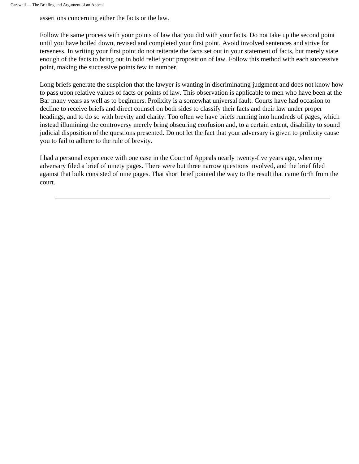assertions concerning either the facts or the law.

Follow the same process with your points of law that you did with your facts. Do not take up the second point until you have boiled down, revised and completed your first point. Avoid involved sentences and strive for terseness. In writing your first point do not reiterate the facts set out in your statement of facts, but merely state enough of the facts to bring out in bold relief your proposition of law. Follow this method with each successive point, making the successive points few in number.

Long briefs generate the suspicion that the lawyer is wanting in discriminating judgment and does not know how to pass upon relative values of facts or points of law. This observation is applicable to men who have been at the Bar many years as well as to beginners. Prolixity is a somewhat universal fault. Courts have had occasion to decline to receive briefs and direct counsel on both sides to classify their facts and their law under proper headings, and to do so with brevity and clarity. Too often we have briefs running into hundreds of pages, which instead illumining the controversy merely bring obscuring confusion and, to a certain extent, disability to sound judicial disposition of the questions presented. Do not let the fact that your adversary is given to prolixity cause you to fail to adhere to the rule of brevity.

I had a personal experience with one case in the Court of Appeals nearly twenty-five years ago, when my adversary filed a brief of ninety pages. There were but three narrow questions involved, and the brief filed against that bulk consisted of nine pages. That short brief pointed the way to the result that came forth from the court.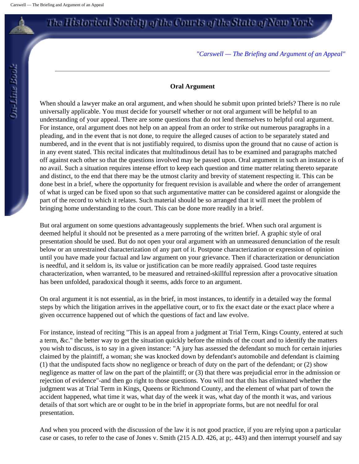*"Carswell — The Briefing and Argument of an Appeal"*

### **Oral Argument**

When should a lawyer make an oral argument, and when should he submit upon printed briefs? There is no rule universally applicable. You must decide for yourself whether or not oral argument will be helpful to an understanding of your appeal. There are some questions that do not lend themselves to helpful oral argument. For instance, oral argument does not help on an appeal from an order to strike out numerous paragraphs in a pleading, and in the event that is not done, to require the alleged causes of action to be separately stated and numbered, and in the event that is not justifiably required, to dismiss upon the ground that no cause of action is in any event stated. This recital indicates that multitudinous detail has to be examined and paragraphs matched off against each other so that the questions involved may be passed upon. Oral argument in such an instance is of no avail. Such a situation requires intense effort to keep each question and time matter relating thereto separate and distinct, to the end that there may be the utmost clarity and brevity of statement respecting it. This can be done best in a brief, where the opportunity for frequent revision is available and where the order of arrangement of what is urged can be fixed upon so that such argumentative matter can be considered against or alongside the part of the record to which it relates. Such material should be so arranged that it will meet the problem of bringing home understanding to the court. This can be done more readily in a brief.

But oral argument on some questions advantageously supplements the brief. When such oral argument is deemed helpful it should not be presented as a mere parroting of the written brief. A graphic style of oral presentation should be used. But do not open your oral argument with an unmeasured denunciation of the result below or an unrestrained characterization of any part of it. Postpone characterization or expression of opinion until you have made your factual and law argument on your grievance. Then if characterization or denunciation is needful, and it seldom is, its value or justification can be more readily appraised. Good taste requires characterization, when warranted, to be measured and retrained-skillful repression after a provocative situation has been unfolded, paradoxical though it seems, adds force to an argument.

On oral argument it is not essential, as in the brief, in most instances, to identify in a detailed way the formal steps by which the litigation arrives in the appellative court, or to fix the exact date or the exact place where a given occurrence happened out of which the questions of fact and law evolve.

For instance, instead of reciting "This is an appeal from a judgment at Trial Term, Kings County, entered at such a term, &c." the better way to get the situation quickly before the minds of the court and to identify the matters you wish to discuss, is to say in a given instance: "A jury has assessed the defendant so much for certain injuries claimed by the plaintiff, a woman; she was knocked down by defendant's automobile and defendant is claiming (1) that the undisputed facts show no negligence or breach of duty on the part of the defendant; or (2) show negligence as matter of law on the part of the plaintiff; or (3) that there was prejudicial error in the admission or rejection of evidence"-and then go right to those questions. You will not that this has eliminated whether the judgment was at Trial Term in Kings, Queens or Richmond County, and the element of what part of town the accident happened, what time it was, what day of the week it was, what day of the month it was, and various details of that sort which are or ought to be in the brief in appropriate forms, but are not needful for oral presentation.

And when you proceed with the discussion of the law it is not good practice, if you are relying upon a particular case or cases, to refer to the case of Jones v. Smith (215 A.D. 426, at p;. 443) and then interrupt yourself and say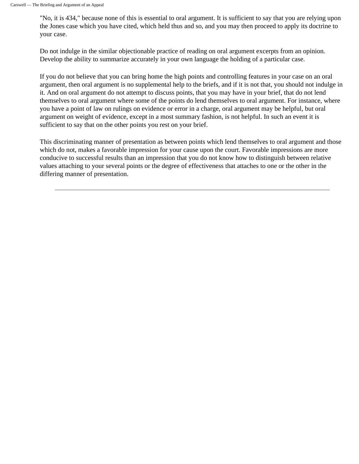"No, it is 434," because none of this is essential to oral argument. It is sufficient to say that you are relying upon the Jones case which you have cited, which held thus and so, and you may then proceed to apply its doctrine to your case.

Do not indulge in the similar objectionable practice of reading on oral argument excerpts from an opinion. Develop the ability to summarize accurately in your own language the holding of a particular case.

If you do not believe that you can bring home the high points and controlling features in your case on an oral argument, then oral argument is no supplemental help to the briefs, and if it is not that, you should not indulge in it. And on oral argument do not attempt to discuss points, that you may have in your brief, that do not lend themselves to oral argument where some of the points do lend themselves to oral argument. For instance, where you have a point of law on rulings on evidence or error in a charge, oral argument may be helpful, but oral argument on weight of evidence, except in a most summary fashion, is not helpful. In such an event it is sufficient to say that on the other points you rest on your brief.

This discriminating manner of presentation as between points which lend themselves to oral argument and those which do not, makes a favorable impression for your cause upon the court. Favorable impressions are more conducive to successful results than an impression that you do not know how to distinguish between relative values attaching to your several points or the degree of effectiveness that attaches to one or the other in the differing manner of presentation.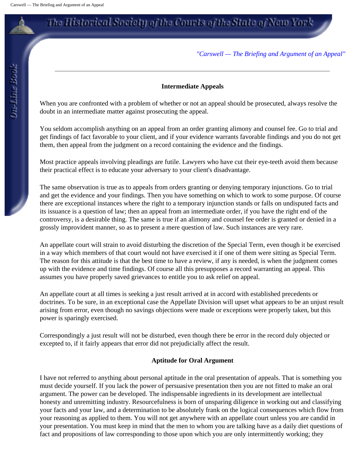### *"Carswell — The Briefing and Argument of an Appeal"*

### **Intermediate Appeals**

When you are confronted with a problem of whether or not an appeal should be prosecuted, always resolve the doubt in an intermediate matter against prosecuting the appeal.

You seldom accomplish anything on an appeal from an order granting alimony and counsel fee. Go to trial and get findings of fact favorable to your client, and if your evidence warrants favorable findings and you do not get them, then appeal from the judgment on a record containing the evidence and the findings.

Most practice appeals involving pleadings are futile. Lawyers who have cut their eye-teeth avoid them because their practical effect is to educate your adversary to your client's disadvantage.

The same observation is true as to appeals from orders granting or denying temporary injunctions. Go to trial and get the evidence and your findings. Then you have something on which to work to some purpose. Of course there are exceptional instances where the right to a temporary injunction stands or falls on undisputed facts and its issuance is a question of law; then an appeal from an intermediate order, if you have the right end of the controversy, is a desirable thing. The same is true if an alimony and counsel fee order is granted or denied in a grossly improvident manner, so as to present a mere question of law. Such instances are very rare.

An appellate court will strain to avoid disturbing the discretion of the Special Term, even though it be exercised in a way which members of that court would not have exercised it if one of them were sitting as Special Term. The reason for this attitude is that the best time to have a review, if any is needed, is when the judgment comes up with the evidence and time findings. Of course all this presupposes a record warranting an appeal. This assumes you have properly saved grievances to entitle you to ask relief on appeal.

An appellate court at all times is seeking a just result arrived at in accord with established precedents or doctrines. To be sure, in an exceptional case the Appellate Division will upset what appears to be an unjust result arising from error, even though no savings objections were made or exceptions were properly taken, but this power is sparingly exercised.

Correspondingly a just result will not be disturbed, even though there be error in the record duly objected or excepted to, if it fairly appears that error did not prejudicially affect the result.

### **Aptitude for Oral Argument**

I have not referred to anything about personal aptitude in the oral presentation of appeals. That is something you must decide yourself. If you lack the power of persuasive presentation then you are not fitted to make an oral argument. The power can be developed. The indispensable ingredients in its development are intellectual honesty and unremitting industry. Resourcefulness is born of unsparing diligence in working out and classifying your facts and your law, and a determination to be absolutely frank on the logical consequences which flow from your reasoning as applied to them. You will not get anywhere with an appellate court unless you are candid in your presentation. You must keep in mind that the men to whom you are talking have as a daily diet questions of fact and propositions of law corresponding to those upon which you are only intermittently working; they